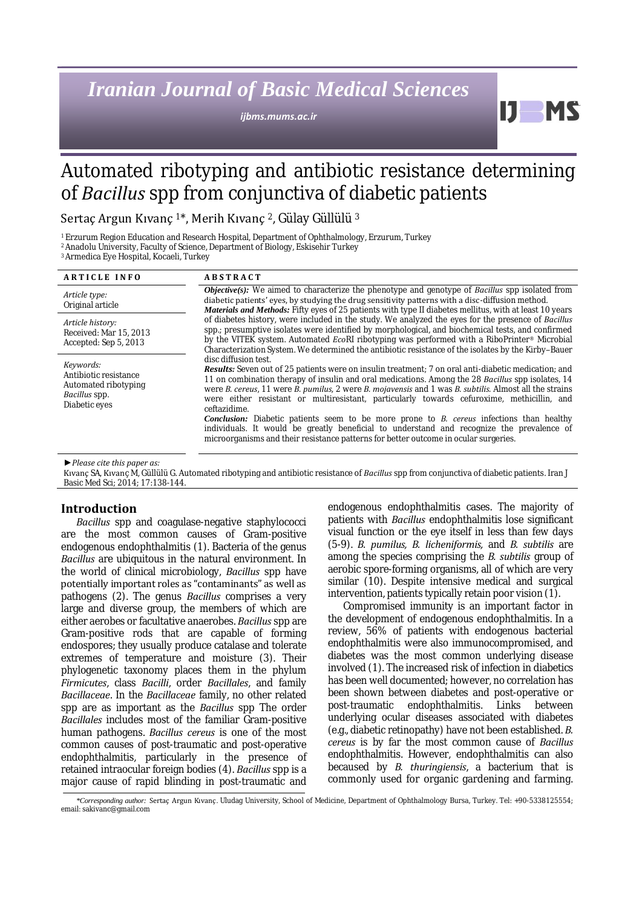# *Iranian Journal of Basic Medical Sciences*

*ijbms.mums.ac.ir*

Automated ribotyping and antibiotic resistance determining of *Bacillus* spp from conjunctiva of diabetic patients

Sertaç Argun Kıvanç 1\*, Merih Kıvanç 2, Gülay Güllülü <sup>3</sup>

<sup>1</sup>Erzurum Region Education and Research Hospital, Department of Ophthalmology, Erzurum, Turkey

<sup>2</sup>Anadolu University, Faculty of Science, Department of Biology, Eskisehir Turkey

<sup>3</sup>Armedica Eye Hospital, Kocaeli, Turkey

| <b>ARTICLE INFO</b>                                                                          | <b>ABSTRACT</b>                                                                                                                                                                                                                                                                                                                                                                                                                                                                                                                                                                                                                                                                                                                                                 |
|----------------------------------------------------------------------------------------------|-----------------------------------------------------------------------------------------------------------------------------------------------------------------------------------------------------------------------------------------------------------------------------------------------------------------------------------------------------------------------------------------------------------------------------------------------------------------------------------------------------------------------------------------------------------------------------------------------------------------------------------------------------------------------------------------------------------------------------------------------------------------|
| Article type:<br>Original article                                                            | <b>Objective(s):</b> We aimed to characterize the phenotype and genotype of <i>Bacillus</i> spp isolated from<br>diabetic patients' eyes, by studying the drug sensitivity patterns with a disc-diffusion method.<br>Materials and Methods: Fifty eyes of 25 patients with type II diabetes mellitus, with at least 10 years                                                                                                                                                                                                                                                                                                                                                                                                                                    |
| Article history:<br>Received: Mar 15, 2013<br>Accepted: Sep 5, 2013                          | of diabetes history, were included in the study. We analyzed the eyes for the presence of Bacillus<br>spp.; presumptive isolates were identified by morphological, and biochemical tests, and confirmed<br>by the VITEK system. Automated EcoRI ribotyping was performed with a RiboPrinter <sup>®</sup> Microbial<br>Characterization System. We determined the antibiotic resistance of the isolates by the Kirby-Bauer                                                                                                                                                                                                                                                                                                                                       |
| Keywords:<br>Antibiotic resistance<br>Automated ribotyping<br>Bacillus spp.<br>Diabetic eyes | disc diffusion test.<br><b>Results:</b> Seven out of 25 patients were on insulin treatment; 7 on oral anti-diabetic medication; and<br>11 on combination therapy of insulin and oral medications. Among the 28 Bacillus spp isolates, 14<br>were B. cereus, 11 were B. pumilus, 2 were B. mojavensis and 1 was B. subtilis. Almost all the strains<br>were either resistant or multiresistant, particularly towards cefuroxime, methicillin, and<br>ceftazidime.<br><b>Conclusion:</b> Diabetic patients seem to be more prone to <i>B. cereus</i> infections than healthy<br>individuals. It would be greatly beneficial to understand and recognize the prevalence of<br>microorganisms and their resistance patterns for better outcome in ocular surgeries. |

*►Please cite this paper as:*

Kıvanç SA, Kıvanç M, Güllülü G. Automated ribotyping and antibiotic resistance of *Bacillus* spp from conjunctiva of diabetic patients. Iran J Basic Med Sci; 2014; 17:138-144.

## **Introduction**

*Bacillus* spp and coagulase-negative staphylococci are the most common causes of Gram-positive endogenous endophthalmitis (1). Bacteria of the genus *Bacillus* are ubiquitous in the natural environment. In the world of clinical microbiology, *Bacillus* spp have potentially important roles as "contaminants" as well as pathogens (2). The genus *Bacillus* comprises a very large and diverse group, the members of which are either aerobes or facultative anaerobes. *Bacillus* spp are Gram-positive rods that are capable of forming endospores; they usually produce catalase and tolerate extremes of temperature and moisture (3). Their phylogenetic taxonomy places them in the phylum *Firmicutes*, class *Bacilli*, order *Bacillales*, and family *Bacillaceae*. In the *Bacillaceae* family, no other related spp are as important as the *Bacillus* spp The order *Bacillales* includes most of the familiar Gram-positive human pathogens. *Bacillus cereus* is one of the most common causes of post-traumatic and post-operative endophthalmitis, particularly in the presence of retained intraocular foreign bodies (4). *Bacillus* spp is a major cause of rapid blinding in post-traumatic and

endogenous endophthalmitis cases. The majority of patients with *Bacillus* endophthalmitis lose significant visual function or the eye itself in less than few days (5-9). *B. pumilus, B. licheniformis,* and *B. subtilis* are among the species comprising the *B. subtilis* group of aerobic spore-forming organisms, all of which are very similar (10). Despite intensive medical and surgical intervention, patients typically retain poor vision (1).

H

Compromised immunity is an important factor in the development of endogenous endophthalmitis. In a review, 56% of patients with endogenous bacterial endophthalmitis were also immunocompromised, and diabetes was the most common underlying disease involved (1). The increased risk of infection in diabetics has been well documented; however, no correlation has been shown between diabetes and post-operative or post-traumatic endophthalmitis. Links between post-traumatic endophthalmitis. underlying ocular diseases associated with diabetes (e.g., diabetic retinopathy) have not been established. *B. cereus* is by far the most common cause of *Bacillus* endophthalmitis. However, endophthalmitis can also becaused by *B. thuringiensis*, a bacterium that is commonly used for organic gardening and farming.

*<sup>\*</sup>Corresponding author:* Sertaç Argun Kıvanç. Uludag University, School of Medicine, Department of Ophthalmology Bursa, Turkey. Tel: +90-5338125554; email: sakivanc@gmail.com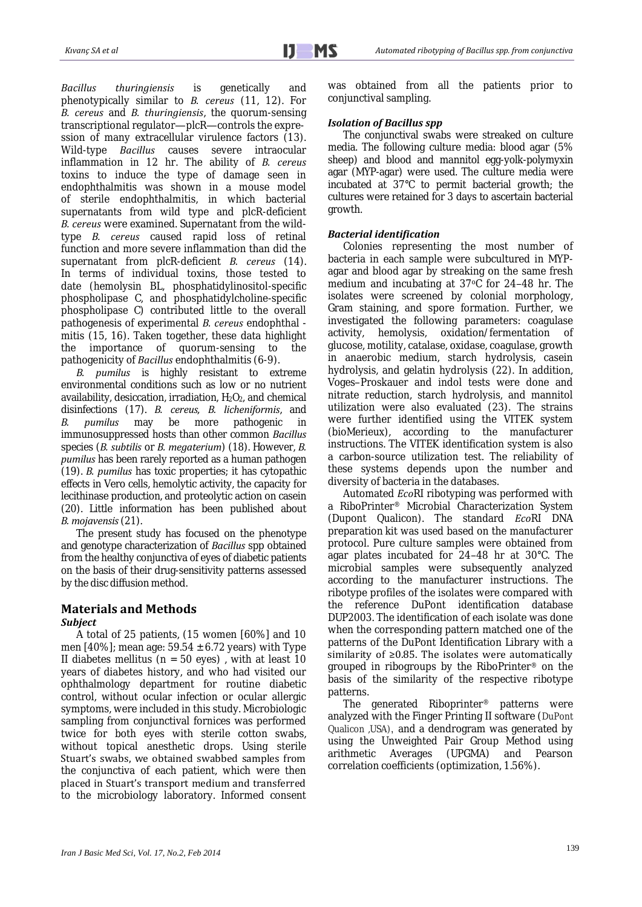*Bacillus thuringiensis* is genetically and phenotypically similar to *B. cereus* (11, 12). For *B. cereus* and *B. thuringiensis*, the quorum-sensing transcriptional regulator—plcR—controls the expression of many extracellular virulence factors (13). Wild-type *Bacillus* causes severe intraocular inflammation in 12 hr. The ability of *B. cereus* toxins to induce the type of damage seen in endophthalmitis was shown in a mouse model of sterile endophthalmitis, in which bacterial supernatants from wild type and plcR-deficient *B. cereus* were examined. Supernatant from the wildtype *B. cereus* caused rapid loss of retinal function and more severe inflammation than did the supernatant from plcR-deficient *B. cereus* (14). In terms of individual toxins, those tested to date (hemolysin BL, phosphatidylinositol-specific phospholipase C, and phosphatidylcholine-specific phospholipase C) contributed little to the overall pathogenesis of experimental *B. cereus* endophthal mitis (15, 16). Taken together, these data highlight the importance of quorum-sensing to the pathogenicity of *Bacillus* endophthalmitis (6-9).

*B. pumilus* is highly resistant to extreme environmental conditions such as low or no nutrient availability, desiccation, irradiation,  $H_2O_2$ , and chemical disinfections (17). *B. cereus, B. licheniformis*, and *B. pumilus* may be more pathogenic in immunosuppressed hosts than other common *Bacillus*  species (*B. subtilis* or *B. megaterium*) (18). However, *B. pumilus* has been rarely reported as a human pathogen (19). *B. pumilus* has toxic properties; it has cytopathic effects in Vero cells, hemolytic activity, the capacity for lecithinase production, and proteolytic action on casein (20). Little information has been published about *B. mojavensis*(21).

The present study has focused on the phenotype and genotype characterization of *Bacillus* spp obtained from the healthy conjunctiva of eyes of diabetic patients on the basis of their drug-sensitivity patterns assessed by the disc diffusion method.

# **Materials and Methods**

## *Subject*

A total of 25 patients, (15 women [60%] and 10 men  $[40\%]$ ; mean age: 59.54  $\pm$  6.72 years) with Type II diabetes mellitus  $(n = 50 \text{ eyes})$ , with at least 10 years of diabetes history, and who had visited our ophthalmology department for routine diabetic control, without ocular infection or ocular allergic symptoms, were included in this study. Microbiologic sampling from conjunctival fornices was performed twice for both eyes with sterile cotton swabs, without topical anesthetic drops. Using sterile Stuart's swabs, we obtained swabbed samples from the conjunctiva of each patient, which were then placed in Stuart's transport medium and transferred to the microbiology laboratory. Informed consent

was obtained from all the patients prior to conjunctival sampling.

## *Isolation of Bacillus spp*

The conjunctival swabs were streaked on culture media. The following culture media: blood agar (5% sheep) and blood and mannitol egg-yolk-polymyxin agar (MYP-agar) were used. The culture media were incubated at 37°C to permit bacterial growth; the cultures were retained for 3 days to ascertain bacterial growth.

## *Bacterial identification*

Colonies representing the most number of bacteria in each sample were subcultured in MYPagar and blood agar by streaking on the same fresh medium and incubating at 37°C for 24-48 hr. The isolates were screened by colonial morphology, Gram staining, and spore formation. Further, we investigated the following parameters: coagulase activity, hemolysis, oxidation/fermentation of glucose, motility, catalase, oxidase, coagulase, growth in anaerobic medium, starch hydrolysis, casein hydrolysis, and gelatin hydrolysis (22). In addition, Voges–Proskauer and indol tests were done and nitrate reduction, starch hydrolysis, and mannitol utilization were also evaluated (23). The strains were further identified using the VITEK system (bioMerieux), according to the manufacturer instructions. The VITEK identification system is also a carbon-source utilization test. The reliability of these systems depends upon the number and diversity of bacteria in the databases.

Automated *Eco*RI ribotyping was performed with a RiboPrinter® Microbial Characterization System (Dupont Qualicon). The standard *Eco*RI DNA preparation kit was used based on the manufacturer protocol. Pure culture samples were obtained from agar plates incubated for 24–48 hr at 30°C. The microbial samples were subsequently analyzed according to the manufacturer instructions. The ribotype profiles of the isolates were compared with the reference DuPont identification database DUP2003. The identification of each isolate was done when the corresponding pattern matched one of the patterns of the DuPont Identification Library with a similarity of ≥0.85. The isolates were automatically grouped in ribogroups by the RiboPrinter® on the basis of the similarity of the respective ribotype patterns.

The generated Riboprinter® patterns were analyzed with the Finger Printing II software (DuPont Qualicon ,USA), and a dendrogram was generated by using the Unweighted Pair Group Method using arithmetic Averages (UPGMA) and Pearson correlation coefficients (optimization, 1.56%).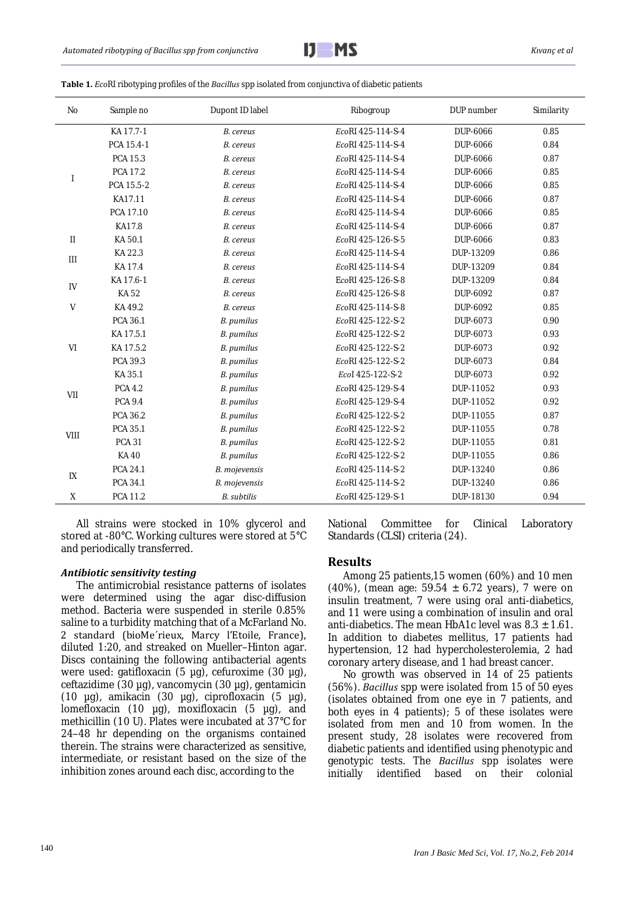

| Table 1. EcoRI ribotyping profiles of the Bacillus spp isolated from conjunctiva of diabetic patients |  |  |  |
|-------------------------------------------------------------------------------------------------------|--|--|--|
|-------------------------------------------------------------------------------------------------------|--|--|--|

| <b>No</b>                  | Sample no      | Dupont ID label    | Ribogroup         | DUP number | Similarity |
|----------------------------|----------------|--------------------|-------------------|------------|------------|
|                            | KA 17.7-1      | B. cereus          | EcoRI 425-114-S-4 | DUP-6066   | 0.85       |
|                            | PCA 15.4-1     | B. cereus          | EcoRI 425-114-S-4 | DUP-6066   | 0.84       |
|                            | PCA 15.3       | B. cereus          | EcoRI 425-114-S-4 | DUP-6066   | 0.87       |
|                            | PCA 17.2       | B. cereus          | EcoRI 425-114-S-4 | DUP-6066   | 0.85       |
|                            | PCA 15.5-2     | B. cereus          | EcoRI 425-114-S-4 | DUP-6066   | 0.85       |
|                            | KA17.11        | B. cereus          | EcoRI 425-114-S-4 | DUP-6066   | 0.87       |
|                            | PCA 17.10      | B. cereus          | EcoRI 425-114-S-4 | DUP-6066   | 0.85       |
|                            | <b>KA17.8</b>  | B. cereus          | EcoRI 425-114-S-4 | DUP-6066   | 0.87       |
| $\mathop{\rm II}\nolimits$ | KA 50.1        | B. cereus          | EcoRI 425-126-S-5 | DUP-6066   | 0.83       |
| $\mathbf{III}$             | KA 22.3        | B. cereus          | EcoRI 425-114-S-4 | DUP-13209  | 0.86       |
|                            | KA 17.4        | B. cereus          | EcoRI 425-114-S-4 | DUP-13209  | 0.84       |
| $\mathsf{IV}$              | KA 17.6-1      | B. cereus          | EcoRI 425-126-S-8 | DUP-13209  | 0.84       |
|                            | KA 52          | B. cereus          | EcoRI 425-126-S-8 | DUP-6092   | 0.87       |
| V                          | KA 49.2        | B. cereus          | EcoRI 425-114-S-8 | DUP-6092   | 0.85       |
|                            | PCA 36.1       | B. pumilus         | EcoRI 425-122-S-2 | DUP-6073   | 0.90       |
|                            | KA 17.5.1      | B. pumilus         | EcoRI 425-122-S-2 | DUP-6073   | 0.93       |
| V <sub>l</sub>             | KA 17.5.2      | B. pumilus         | EcoRI 425-122-S-2 | DUP-6073   | 0.92       |
|                            | PCA 39.3       | B. pumilus         | EcoRI 425-122-S-2 | DUP-6073   | 0.84       |
|                            | KA 35.1        | B. pumilus         | Ecol 425-122-S-2  | DUP-6073   | 0.92       |
|                            | <b>PCA 4.2</b> | B. pumilus         | EcoRI 425-129-S-4 | DUP-11052  | 0.93       |
| VII                        | <b>PCA 9.4</b> | B. pumilus         | EcoRI 425-129-S-4 | DUP-11052  | 0.92       |
| VIII                       | PCA 36.2       | B. pumilus         | EcoRI 425-122-S-2 | DUP-11055  | 0.87       |
|                            | PCA 35.1       | B. pumilus         | EcoRI 425-122-S-2 | DUP-11055  | 0.78       |
|                            | <b>PCA 31</b>  | B. pumilus         | EcoRI 425-122-S-2 | DUP-11055  | 0.81       |
|                            | <b>KA40</b>    | B. pumilus         | EcoRI 425-122-S-2 | DUP-11055  | 0.86       |
| IX                         | PCA 24.1       | B. mojevensis      | EcoRI 425-114-S-2 | DUP-13240  | 0.86       |
|                            | PCA 34.1       | B. mojevensis      | EcoRI 425-114-S-2 | DUP-13240  | 0.86       |
| X                          | PCA 11.2       | <b>B.</b> subtilis | EcoRI 425-129-S-1 | DUP-18130  | 0.94       |

All strains were stocked in 10% glycerol and stored at -80°C. Working cultures were stored at 5°C and periodically transferred.

#### *Antibiotic sensitivity testing*

The antimicrobial resistance patterns of isolates were determined using the agar disc-diffusion method. Bacteria were suspended in sterile 0.85% saline to a turbidity matching that of a McFarland No. 2 standard (bioMe´rieux, Marcy l'Etoile, France), diluted 1:20, and streaked on Mueller–Hinton agar. Discs containing the following antibacterial agents were used: gatifloxacin (5 µg), cefuroxime (30 µg), ceftazidime (30 µg), vancomycin (30 µg), gentamicin (10 µg), amikacin (30 µg), ciprofloxacin (5 µg), lomefloxacin (10 µg), moxifloxacin (5 µg), and methicillin (10 U). Plates were incubated at 37°C for 24–48 hr depending on the organisms contained therein. The strains were characterized as sensitive, intermediate, or resistant based on the size of the inhibition zones around each disc, according to the

National Committee for Clinical Laboratory Standards (CLSI) criteria (24).

#### **Results**

Among 25 patients,15 women (60%) and 10 men (40%), (mean age: 59.54 ± 6.72 years), 7 were on insulin treatment, 7 were using oral anti-diabetics, and 11 were using a combination of insulin and oral anti-diabetics. The mean HbA1c level was  $8.3 \pm 1.61$ . In addition to diabetes mellitus, 17 patients had hypertension, 12 had hypercholesterolemia, 2 had coronary artery disease, and 1 had breast cancer.

No growth was observed in 14 of 25 patients (56%). *Bacillus* spp were isolated from 15 of 50 eyes (isolates obtained from one eye in 7 patients, and both eyes in 4 patients); 5 of these isolates were isolated from men and 10 from women. In the present study, 28 isolates were recovered from diabetic patients and identified using phenotypic and genotypic tests. The *Bacillus* spp isolates were initially identified based on their colonial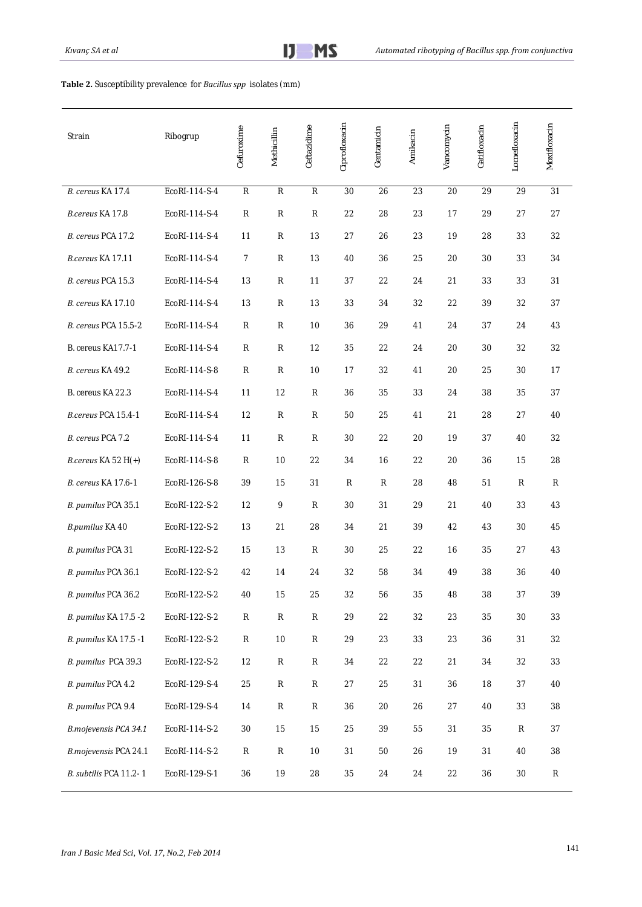| Strain                    | Ribogrup      | Cefuroxime     | Methicillin    | Ceftazidime    | Ciprofloxacin | Gentamicin | Amikacin        | Vancomycin | Gatifloxacin | Lomefloxacin | Moxifloxacin |
|---------------------------|---------------|----------------|----------------|----------------|---------------|------------|-----------------|------------|--------------|--------------|--------------|
| B. cereus KA 17.4         | EcoRI-114-S-4 | $\overline{R}$ | $\overline{R}$ | $\overline{R}$ | 30            | 26         | $\overline{23}$ | 20         | 29           | 29           | 31           |
| B.cereus KA 17.8          | EcoRI-114-S-4 | $\mathsf{R}$   | ${\sf R}$      | ${\sf R}$      | 22            | 28         | 23              | 17         | 29           | 27           | 27           |
| B. cereus PCA 17.2        | EcoRI-114-S-4 | 11             | ${\sf R}$      | 13             | 27            | 26         | 23              | 19         | 28           | 33           | 32           |
| B.cereus KA 17.11         | EcoRI-114-S-4 | 7              | ${\sf R}$      | 13             | 40            | 36         | 25              | 20         | 30           | 33           | 34           |
| B. cereus PCA 15.3        | EcoRI-114-S-4 | 13             | R              | 11             | 37            | 22         | 24              | 21         | 33           | 33           | 31           |
| <b>B.</b> cereus KA 17.10 | EcoRI-114-S-4 | 13             | R              | 13             | 33            | 34         | 32              | 22         | 39           | 32           | 37           |
| B. cereus PCA 15.5-2      | EcoRI-114-S-4 | R              | R              | 10             | 36            | 29         | 41              | 24         | 37           | 24           | 43           |
| B. cereus KA17.7-1        | EcoRI-114-S-4 | $\mathsf{R}$   | ${\sf R}$      | 12             | 35            | 22         | 24              | 20         | 30           | 32           | 32           |
| B. cereus KA 49.2         | EcoRI-114-S-8 | $\mathsf{R}$   | $\mathsf{R}$   | 10             | 17            | 32         | 41              | 20         | 25           | 30           | 17           |
| B. cereus KA 22.3         | EcoRI-114-S-4 | 11             | 12             | R              | 36            | 35         | 33              | 24         | 38           | 35           | 37           |
| B.cereus PCA 15.4-1       | EcoRI-114-S-4 | 12             | ${\sf R}$      | ${\sf R}$      | 50            | 25         | 41              | 21         | 28           | 27           | 40           |
| B. cereus PCA 7.2         | EcoRI-114-S-4 | 11             | ${\sf R}$      | R              | 30            | 22         | 20              | 19         | 37           | 40           | 32           |
| B.cereus KA 52 H(+)       | EcoRI-114-S-8 | $\mathsf{R}$   | 10             | 22             | 34            | 16         | 22              | 20         | 36           | 15           | 28           |
| B. cereus KA 17.6-1       | EcoRI-126-S-8 | 39             | 15             | 31             | R             | ${\sf R}$  | 28              | 48         | 51           | ${\sf R}$    | R            |
| B. pumilus PCA 35.1       | EcoRI-122-S-2 | 12             | 9              | ${\sf R}$      | 30            | 31         | 29              | 21         | 40           | 33           | 43           |
| B.pumilus KA 40           | EcoRI-122-S-2 | 13             | 21             | 28             | 34            | 21         | 39              | 42         | 43           | 30           | 45           |
| B. pumilus PCA 31         | EcoRI-122-S-2 | 15             | 13             | R              | 30            | 25         | 22              | 16         | 35           | 27           | 43           |
| B. pumilus PCA 36.1       | EcoRI-122-S-2 | 42             | 14             | 24             | 32            | 58         | 34              | 49         | 38           | 36           | 40           |
| B. pumilus PCA 36.2       | EcoRI-122-S-2 | $40\,$         | 15             | 25             | 32            | 56         | 35              | 48         | 38           | 37           | 39           |
| B. pumilus KA 17.5 -2     | EcoRI-122-S-2 | ${\sf R}$      | ${\sf R}$      | ${\sf R}$      | 29            | 22         | 32              | 23         | 35           | $30\,$       | 33           |
| B. pumilus KA 17.5 -1     | EcoRI-122-S-2 | ${\sf R}$      | $10$           | $\mathsf{R}$   | 29            | 23         | 33              | 23         | 36           | 31           | 32           |
| B. pumilus PCA 39.3       | EcoRI-122-S-2 | 12             | R              | $\mathsf{R}$   | 34            | 22         | 22              | 21         | 34           | 32           | 33           |
| B. pumilus PCA 4.2        | EcoRI-129-S-4 | 25             | ${\sf R}$      | ${\sf R}$      | 27            | 25         | 31              | 36         | 18           | 37           | 40           |
| B. pumilus PCA 9.4        | EcoRI-129-S-4 | 14             | ${\sf R}$      | ${\sf R}$      | 36            | $20\,$     | 26              | 27         | 40           | 33           | 38           |
| B.mojevensis PCA 34.1     | EcoRI-114-S-2 | $30\,$         | 15             | 15             | 25            | 39         | 55              | 31         | 35           | ${\sf R}$    | 37           |
| B.mojevensis PCA 24.1     | EcoRI-114-S-2 | R              | ${\sf R}$      | 10             | 31            | 50         | 26              | 19         | 31           | 40           | 38           |
| B. subtilis PCA 11.2-1    | EcoRI-129-S-1 | 36             | 19             | 28             | 35            | 24         | 24              | 22         | 36           | $30\,$       | ${\sf R}$    |

### **Table 2.** Susceptibility prevalence for *Bacillus spp* isolates (mm)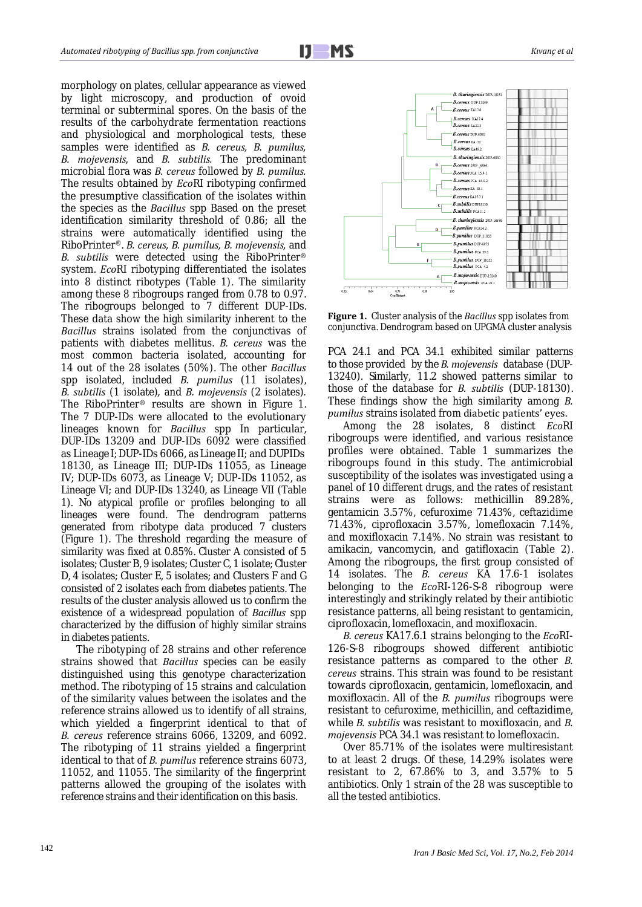i

morphology on plates, cellular appearance as viewed by light microscopy, and production of ovoid terminal or subterminal spores. On the basis of the results of the carbohydrate fermentation reactions and physiological and morphological tests, these samples were identified as *B. cereus, B. pumilus, B. mojevensis,* and *B. subtilis.* The predominant microbial flora was *B. cereus* followed by *B. pumilus.* The results obtained by *Eco*RI ribotyping confirmed the presumptive classification of the isolates within the species as the *Bacillus* spp Based on the preset identification similarity threshold of 0.86; all the strains were automatically identified using the RiboPrinter®. *B. cereus, B. pumilus, B. mojevensis,* and *B. subtilis* were detected using the RiboPrinter® system. *Eco*RI ribotyping differentiated the isolates into 8 distinct ribotypes (Table 1). The similarity among these 8 ribogroups ranged from 0.78 to 0.97. The ribogroups belonged to 7 different DUP-IDs. These data show the high similarity inherent to the *Bacillus* strains isolated from the conjunctivas of patients with diabetes mellitus. *B. cereus* was the most common bacteria isolated, accounting for 14 out of the 28 isolates (50%). The other *Bacillus* spp isolated, included *B. pumilus* (11 isolates), *B. subtilis* (1 isolate)*,* and *B. mojevensis* (2 isolates)*.* The RiboPrinter® results are shown in Figure 1. The 7 DUP-IDs were allocated to the evolutionary lineages known for *Bacillus* spp In particular, DUP-IDs 13209 and DUP-IDs 6092 were classified as Lineage I;DUP-IDs 6066, as Lineage II; and DUPIDs 18130, as Lineage III; DUP-IDs 11055, as Lineage IV; DUP-IDs 6073, as Lineage V; DUP-IDs 11052, as Lineage VI; and DUP-IDs 13240, as Lineage VII (Table 1). No atypical profile or profiles belonging to all lineages were found. The dendrogram patterns generated from ribotype data produced 7 clusters (Figure 1). The threshold regarding the measure of similarity was fixed at 0.85%. Cluster A consisted of 5 isolates; Cluster B, 9 isolates; Cluster C, 1 isolate; Cluster D, 4 isolates; Cluster E, 5 isolates; and Clusters F and G consisted of 2 isolates each from diabetes patients. The results of the cluster analysis allowed us to confirm the existence of a widespread population of *Bacillus* spp characterized by the diffusion of highly similar strains in diabetes patients.

The ribotyping of 28 strains and other reference strains showed that *Bacillus* species can be easily distinguished using this genotype characterization method. The ribotyping of 15 strains and calculation of the similarity values between the isolates and the reference strains allowed us to identify of all strains, which yielded a fingerprint identical to that of *B. cereus* reference strains 6066, 13209, and 6092. The ribotyping of 11 strains yielded a fingerprint identical to that of *B. pumilus* reference strains 6073, 11052, and 11055. The similarity of the fingerprint patterns allowed the grouping of the isolates with reference strains and their identification on this basis.



**Figure 1.** Cluster analysis of the *Bacillus* spp isolates from conjunctiva. Dendrogram based on UPGMA cluster analysis

PCA 24.1 and PCA 34.1 exhibited similar patterns to those provided by the *B. mojevensis* database (DUP-13240). Similarly, 11.2 showed patterns similar to those of the database for *B. subtilis* (DUP-18130). These findings show the high similarity among *B. pumilus* strains isolated from diabetic patients' eyes.

Among the 28 isolates, 8 distinct *Eco*RI ribogroups were identified, and various resistance profiles were obtained. Table 1 summarizes the ribogroups found in this study. The antimicrobial susceptibility of the isolates was investigated using a panel of 10 different drugs, and the rates of resistant strains were as follows: methicillin 89.28%, gentamicin 3.57%, cefuroxime 71.43%, ceftazidime 71.43%, ciprofloxacin 3.57%, lomefloxacin 7.14%, and moxifloxacin 7.14%. No strain was resistant to amikacin, vancomycin, and gatifloxacin (Table 2). Among the ribogroups, the first group consisted of 14 isolates. The *B. cereus* KA 17.6-1 isolates belonging to the *Eco*RI-126-S-8 ribogroup were interestingly and strikingly related by their antibiotic resistance patterns, all being resistant to gentamicin, ciprofloxacin, lomefloxacin, and moxifloxacin.

*B. cereus* KA17.6.1 strains belonging to the *Eco*RI-126-S-8 ribogroups showed different antibiotic resistance patterns as compared to the other *B. cereus* strains. This strain was found to be resistant towards ciprofloxacin, gentamicin, lomefloxacin, and moxifloxacin. All of the *B. pumilus* ribogroups were resistant to cefuroxime, methicillin, and ceftazidime, while *B. subtilis* was resistant to moxifloxacin, and *B. mojevensis* PCA 34.1 was resistant to lomefloxacin.

Over 85.71% of the isolates were multiresistant to at least 2 drugs. Of these, 14.29% isolates were resistant to 2, 67.86% to 3, and 3.57% to 5 antibiotics. Only 1 strain of the 28 was susceptible to all the tested antibiotics.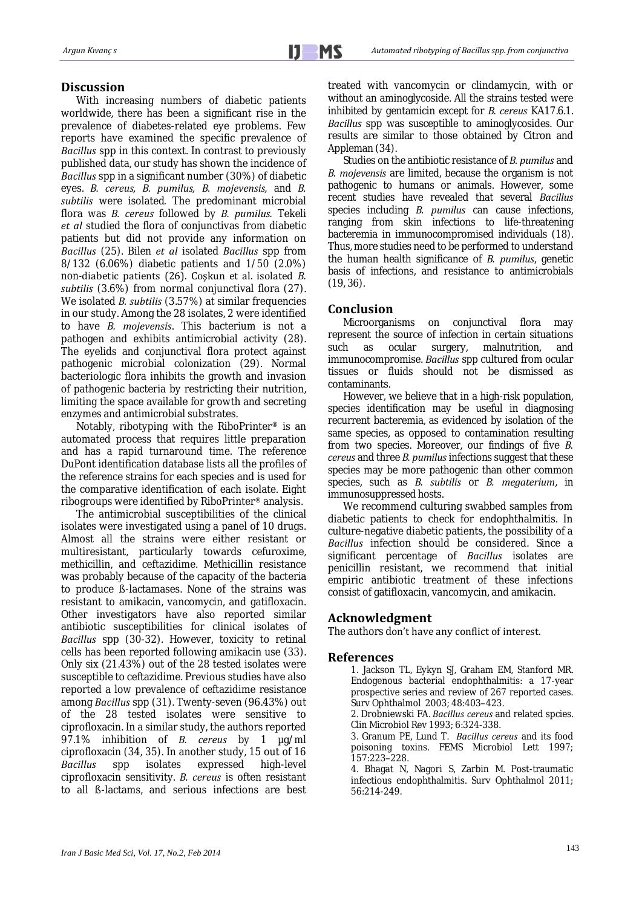With increasing numbers of diabetic patients worldwide, there has been a significant rise in the prevalence of diabetes-related eye problems. Few reports have examined the specific prevalence of *Bacillus* spp in this context. In contrast to previously published data, our study has shown the incidence of *Bacillus* spp in a significant number (30%) of diabetic eyes. *B. cereus, B. pumilus, B. mojevensis,* and *B. subtilis* were isolated*.* The predominant microbial flora was *B. cereus* followed by *B. pumilus.* Tekeli *et al* studied the flora of conjunctivas from diabetic patients but did not provide any information on *Bacillus* (25). Bilen *et al* isolated *Bacillus* spp from 8/132 (6.06%) diabetic patients and 1/50 (2.0%) non-diabetic patients (26). Coşkun et al. isolated *B. subtilis* (3.6%) from normal conjunctival flora (27). We isolated *B. subtilis* (3.57%) at similar frequencies in our study. Among the 28 isolates, 2 were identified to have *B. mojevensis*. This bacterium is not a pathogen and exhibits antimicrobial activity (28). The eyelids and conjunctival flora protect against pathogenic microbial colonization (29). Normal bacteriologic flora inhibits the growth and invasion of pathogenic bacteria by restricting their nutrition, limiting the space available for growth and secreting enzymes and antimicrobial substrates.

Notably, ribotyping with the RiboPrinter® is an automated process that requires little preparation and has a rapid turnaround time. The reference DuPont identification database lists all the profiles of the reference strains for each species and is used for the comparative identification of each isolate. Eight ribogroups were identified by RiboPrinter® analysis.

The antimicrobial susceptibilities of the clinical isolates were investigated using a panel of 10 drugs. Almost all the strains were either resistant or multiresistant, particularly towards cefuroxime, methicillin, and ceftazidime. Methicillin resistance was probably because of the capacity of the bacteria to produce ß-lactamases. None of the strains was resistant to amikacin, vancomycin, and gatifloxacin. Other investigators have also reported similar antibiotic susceptibilities for clinical isolates of *Bacillus* spp (30-32). However, toxicity to retinal cells has been reported following amikacin use (33). Only six (21.43%) out of the 28 tested isolates were susceptible to ceftazidime. Previous studies have also reported a low prevalence of ceftazidime resistance among *Bacillus* spp (31). Twenty-seven (96.43%) out of the 28 tested isolates were sensitive to ciprofloxacin. In a similar study, the authors reported 97.1% inhibition of *B. cereus* by 1 µg/ml ciprofloxacin (34, 35). In another study, 15 out of 16 *Bacillus* spp isolates expressed high-level ciprofloxacin sensitivity. *B. cereus* is often resistant to all ß-lactams, and serious infections are best treated with vancomycin or clindamycin, with or without an aminoglycoside. All the strains tested were inhibited by gentamicin except for *B. cereus* KA17.6.1. *Bacillus* spp was susceptible to aminoglycosides. Our results are similar to those obtained by Citron and Appleman (34).

Studies on the antibiotic resistance of *B. pumilus* and *B. mojevensis* are limited, because the organism is not pathogenic to humans or animals. However, some recent studies have revealed that several *Bacillus*  species including *B. pumilus* can cause infections, ranging from skin infections to life-threatening bacteremia in immunocompromised individuals (18). Thus, more studies need to be performed to understand the human health significance of *B. pumilus*, genetic basis of infections, and resistance to antimicrobials  $(19, 36)$ .

## **Conclusion**

Microorganisms on conjunctival flora may represent the source of infection in certain situations such as ocular surgery, malnutrition, and immunocompromise. *Bacillus* spp cultured from ocular tissues or fluids should not be dismissed as contaminants.

However, we believe that in a high-risk population, species identification may be useful in diagnosing recurrent bacteremia, as evidenced by isolation of the same species, as opposed to contamination resulting from two species. Moreover, our findings of five *B. cereus* and three *B. pumilus* infections suggest that these species may be more pathogenic than other common species, such as *B. subtilis* or *B. megaterium*, in immunosuppressed hosts.

We recommend culturing swabbed samples from diabetic patients to check for endophthalmitis. In culture-negative diabetic patients, the possibility of a *Bacillus* infection should be considered. Since a significant percentage of *Bacillus* isolates are penicillin resistant, we recommend that initial empiric antibiotic treatment of these infections consist of gatifloxacin, vancomycin, and amikacin.

## **Acknowledgment**

The authors don't have any conflict of interest.

## **References**

1. Jackson TL, Eykyn SJ, Graham EM, Stanford MR. Endogenous bacterial endophthalmitis: a 17-year prospective series and review of 267 reported cases. Surv Ophthalmol 2003; 48:403–423.

2. Drobniewski FA. *Bacillus cereus* and related spcies. Clin Microbiol Rev 1993; 6:324-338.

3. Granum PE, Lund T. *Bacillus cereus* and its food poisoning toxins. FEMS Microbiol Lett 1997; 157:223–228.

4. Bhagat N, Nagori S, Zarbin M. Post-traumatic infectious endophthalmitis. Surv Ophthalmol 2011; 56:214-249.